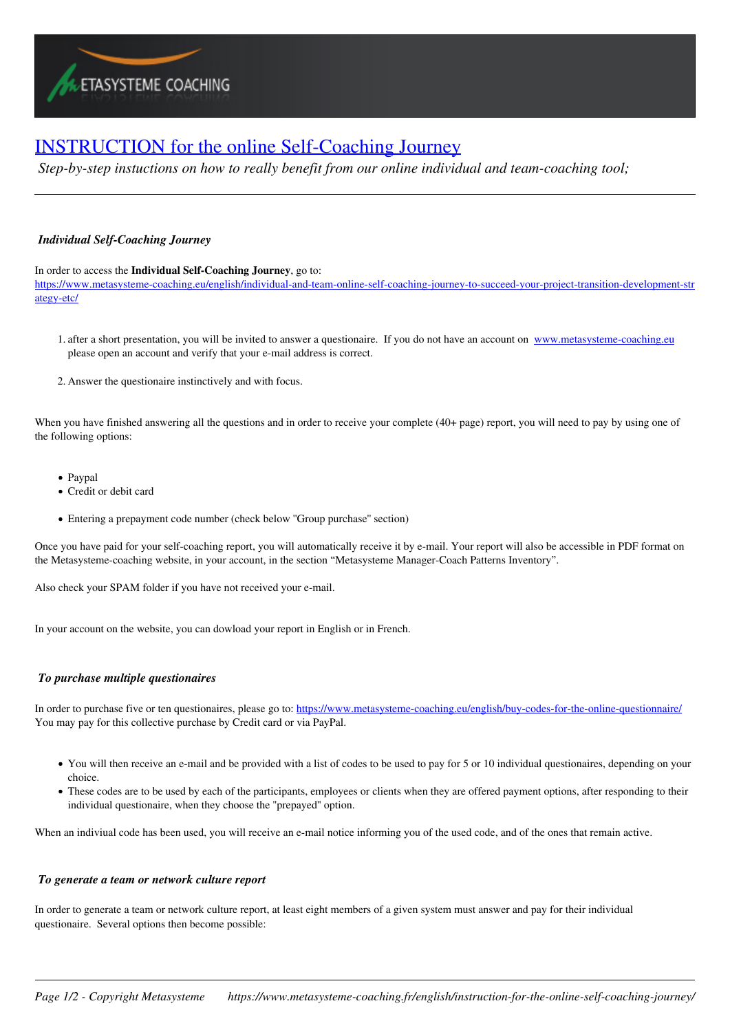## [INSTRUCTION for the online Self-Coaching Journey](https://www.metasysteme-coaching.fr/english/instruction-for-the-online-self-coaching-journey/)

*Step-by-step instuctions on how to really benefit from our online individual and team-coaching tool;*

## *Individual Self-Coaching Journey*

In order to access the **Individual Self-Coaching Journey**, go to:

https://www.metasysteme-coaching.eu/english/individual-and-team-online-self-coaching-journey-to-succeed-your-project-transition-development-str ategy-etc/

- 1. after a short presentation, you will be invited to answer a questionaire. If you do not have an account on www.metasysteme-coaching.eu please open an account and verify that your e-mail address is correct.
- 2. Answer the questionaire instinctively and with focus.

When you have finished answering all the questions and in order to receive your complete (40+ page) report, you will need to pay by using one of the following options:

- Paypal
- Credit or debit card
- Entering a prepayment code number (check below ''Group purchase'' section)

Once you have paid for your self-coaching report, you will automatically receive it by e-mail. Your report will also be accessible in PDF format on the Metasysteme-coaching website, in your account, in the section "Metasysteme Manager-Coach Patterns Inventory".

Also check your SPAM folder if you have not received your e-mail.

In your account on the website, you can dowload your report in English or in French.

## *To purchase multiple questionaires*

In order to purchase five or ten questionaires, please go to: https://www.metasysteme-coaching.eu/english/buy-codes-for-the-online-questionnaire/ You may pay for this collective purchase by Credit card or via PayPal.

- You will then receive an e-mail and be provided with a list of codes to be used to pay for 5 or 10 individual questionaires, depending on your choice.
- These codes are to be used by each of the participants, employees or clients when they are offered payment options, after responding to their individual questionaire, when they choose the ''prepayed'' option.

When an indiviual code has been used, you will receive an e-mail notice informing you of the used code, and of the ones that remain active.

## *To generate a team or network culture report*

In order to generate a team or network culture report, at least eight members of a given system must answer and pay for their individual questionaire. Several options then become possible: